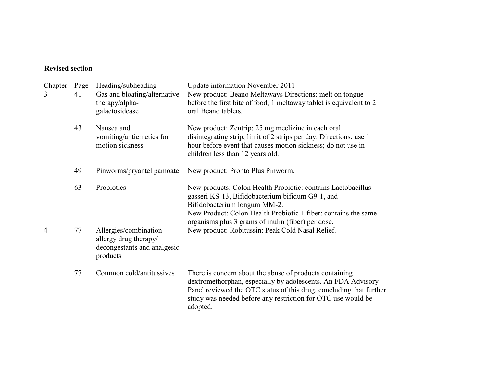## **Revised section**

| Chapter        | Page | Heading/subheading                                                                        | Update information November 2011                                                                                                                                                                                                                                           |
|----------------|------|-------------------------------------------------------------------------------------------|----------------------------------------------------------------------------------------------------------------------------------------------------------------------------------------------------------------------------------------------------------------------------|
| $\overline{3}$ | 41   | Gas and bloating/alternative<br>therapy/alpha-<br>galactosidease                          | New product: Beano Meltaways Directions: melt on tongue<br>before the first bite of food; 1 meltaway tablet is equivalent to 2<br>oral Beano tablets.                                                                                                                      |
|                | 43   | Nausea and<br>vomiting/antiemetics for<br>motion sickness                                 | New product: Zentrip: 25 mg meclizine in each oral<br>disintegrating strip; limit of 2 strips per day. Directions: use 1<br>hour before event that causes motion sickness; do not use in<br>children less than 12 years old.                                               |
|                | 49   | Pinworms/pryantel pamoate                                                                 | New product: Pronto Plus Pinworm.                                                                                                                                                                                                                                          |
|                | 63   | Probiotics                                                                                | New products: Colon Health Probiotic: contains Lactobacillus<br>gasseri KS-13, Bifidobacterium bifidum G9-1, and<br>Bifidobacterium longum MM-2.<br>New Product: Colon Health Probiotic + fiber: contains the same<br>organisms plus 3 grams of inulin (fiber) per dose.   |
| $\overline{4}$ | 77   | Allergies/combination<br>allergy drug therapy/<br>decongestants and analgesic<br>products | New product: Robitussin: Peak Cold Nasal Relief.                                                                                                                                                                                                                           |
|                | 77   | Common cold/antitussives                                                                  | There is concern about the abuse of products containing<br>dextromethorphan, especially by adolescents. An FDA Advisory<br>Panel reviewed the OTC status of this drug, concluding that further<br>study was needed before any restriction for OTC use would be<br>adopted. |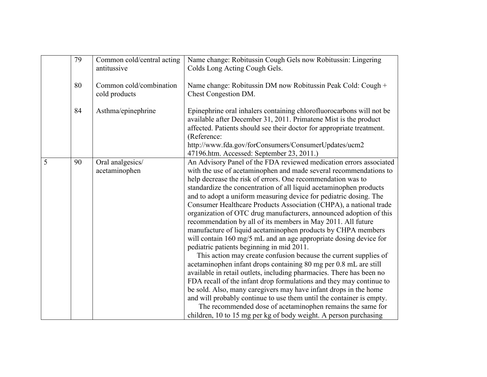|                | 79 | Common cold/central acting<br>antitussive | Name change: Robitussin Cough Gels now Robitussin: Lingering<br>Colds Long Acting Cough Gels.                                                                                                                                                                                                                                                                                                                                                                                                                                                                                                                                                                                                                                                                                                                                                                                                                                                                                                                                                                                                                                                                                                                                                                                                                       |
|----------------|----|-------------------------------------------|---------------------------------------------------------------------------------------------------------------------------------------------------------------------------------------------------------------------------------------------------------------------------------------------------------------------------------------------------------------------------------------------------------------------------------------------------------------------------------------------------------------------------------------------------------------------------------------------------------------------------------------------------------------------------------------------------------------------------------------------------------------------------------------------------------------------------------------------------------------------------------------------------------------------------------------------------------------------------------------------------------------------------------------------------------------------------------------------------------------------------------------------------------------------------------------------------------------------------------------------------------------------------------------------------------------------|
|                | 80 | Common cold/combination<br>cold products  | Name change: Robitussin DM now Robitussin Peak Cold: Cough +<br>Chest Congestion DM.                                                                                                                                                                                                                                                                                                                                                                                                                                                                                                                                                                                                                                                                                                                                                                                                                                                                                                                                                                                                                                                                                                                                                                                                                                |
|                | 84 | Asthma/epinephrine                        | Epinephrine oral inhalers containing chlorofluorocarbons will not be<br>available after December 31, 2011. Primatene Mist is the product<br>affected. Patients should see their doctor for appropriate treatment.<br>(Reference:<br>http://www.fda.gov/forConsumers/ConsumerUpdates/ucm2<br>47196.htm. Accessed: September 23, 2011.)                                                                                                                                                                                                                                                                                                                                                                                                                                                                                                                                                                                                                                                                                                                                                                                                                                                                                                                                                                               |
| $\overline{5}$ | 90 | Oral analgesics/<br>acetaminophen         | An Advisory Panel of the FDA reviewed medication errors associated<br>with the use of acetaminophen and made several recommendations to<br>help decrease the risk of errors. One recommendation was to<br>standardize the concentration of all liquid acetaminophen products<br>and to adopt a uniform measuring device for pediatric dosing. The<br>Consumer Healthcare Products Association (CHPA), a national trade<br>organization of OTC drug manufacturers, announced adoption of this<br>recommendation by all of its members in May 2011. All future<br>manufacture of liquid acetaminophen products by CHPA members<br>will contain 160 mg/5 mL and an age appropriate dosing device for<br>pediatric patients beginning in mid 2011.<br>This action may create confusion because the current supplies of<br>acetaminophen infant drops containing 80 mg per 0.8 mL are still<br>available in retail outlets, including pharmacies. There has been no<br>FDA recall of the infant drop formulations and they may continue to<br>be sold. Also, many caregivers may have infant drops in the home<br>and will probably continue to use them until the container is empty.<br>The recommended dose of acetaminophen remains the same for<br>children, 10 to 15 mg per kg of body weight. A person purchasing |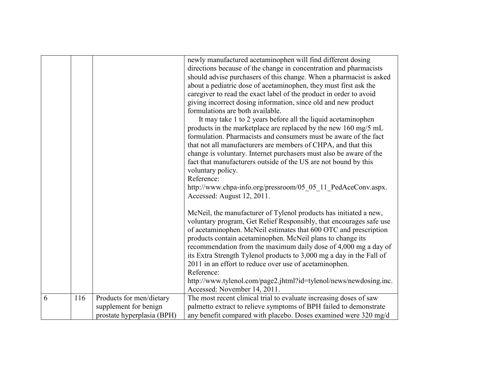|   |     |                                                                                 | newly manufactured acetaminophen will find different dosing<br>directions because of the change in concentration and pharmacists<br>should advise purchasers of this change. When a pharmacist is asked<br>about a pediatric dose of acetaminophen, they must first ask the<br>caregiver to read the exact label of the product in order to avoid<br>giving incorrect dosing information, since old and new product<br>formulations are both available.<br>It may take 1 to 2 years before all the liquid acetaminophen<br>products in the marketplace are replaced by the new 160 mg/5 mL<br>formulation. Pharmacists and consumers must be aware of the fact<br>that not all manufacturers are members of CHPA, and that this<br>change is voluntary. Internet purchasers must also be aware of the<br>fact that manufacturers outside of the US are not bound by this<br>voluntary policy.<br>Reference:<br>http://www.chpa-info.org/pressroom/05_05_11_PedAceConv.aspx.<br>Accessed: August 12, 2011.<br>McNeil, the manufacturer of Tylenol products has initiated a new,<br>voluntary program, Get Relief Responsibly, that encourages safe use<br>of acetaminophen. McNeil estimates that 600 OTC and prescription<br>products contain acetaminophen. McNeil plans to change its<br>recommendation from the maximum daily dose of 4,000 mg a day of<br>its Extra Strength Tylenol products to 3,000 mg a day in the Fall of<br>2011 in an effort to reduce over use of acetaminophen. |
|---|-----|---------------------------------------------------------------------------------|----------------------------------------------------------------------------------------------------------------------------------------------------------------------------------------------------------------------------------------------------------------------------------------------------------------------------------------------------------------------------------------------------------------------------------------------------------------------------------------------------------------------------------------------------------------------------------------------------------------------------------------------------------------------------------------------------------------------------------------------------------------------------------------------------------------------------------------------------------------------------------------------------------------------------------------------------------------------------------------------------------------------------------------------------------------------------------------------------------------------------------------------------------------------------------------------------------------------------------------------------------------------------------------------------------------------------------------------------------------------------------------------------------------------------------------------------------------------------------------------|
|   |     |                                                                                 | Reference:<br>http://www.tylenol.com/page2.jhtml?id=tylenol/news/newdosing.inc.<br>Accessed: November 14, 2011.                                                                                                                                                                                                                                                                                                                                                                                                                                                                                                                                                                                                                                                                                                                                                                                                                                                                                                                                                                                                                                                                                                                                                                                                                                                                                                                                                                              |
| 6 | 116 | Products for men/dietary<br>supplement for benign<br>prostate hyperplasia (BPH) | The most recent clinical trial to evaluate increasing doses of saw<br>palmetto extract to relieve symptoms of BPH failed to demonstrate<br>any benefit compared with placebo. Doses examined were 320 mg/d                                                                                                                                                                                                                                                                                                                                                                                                                                                                                                                                                                                                                                                                                                                                                                                                                                                                                                                                                                                                                                                                                                                                                                                                                                                                                   |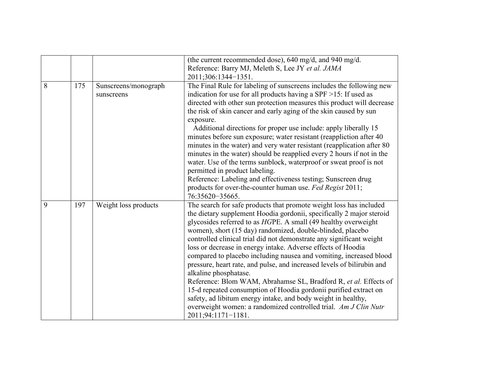|                |     |                                    | (the current recommended dose), 640 mg/d, and 940 mg/d.<br>Reference: Barry MJ, Meleth S, Lee JY et al. JAMA<br>2011;306:1344-1351.                                                                                                                                                                                                                                                                                                                                                                                                                                                                                                                                                                                                                                                                                                                                                           |
|----------------|-----|------------------------------------|-----------------------------------------------------------------------------------------------------------------------------------------------------------------------------------------------------------------------------------------------------------------------------------------------------------------------------------------------------------------------------------------------------------------------------------------------------------------------------------------------------------------------------------------------------------------------------------------------------------------------------------------------------------------------------------------------------------------------------------------------------------------------------------------------------------------------------------------------------------------------------------------------|
| $\overline{8}$ | 175 | Sunscreens/monograph<br>sunscreens | The Final Rule for labeling of sunscreens includes the following new<br>indication for use for all products having a $SPF > 15$ : If used as<br>directed with other sun protection measures this product will decrease<br>the risk of skin cancer and early aging of the skin caused by sun<br>exposure.<br>Additional directions for proper use include: apply liberally 15<br>minutes before sun exposure; water resistant (reappliction after 40<br>minutes in the water) and very water resistant (reapplication after 80<br>minutes in the water) should be reapplied every 2 hours if not in the<br>water. Use of the terms sunblock, waterproof or sweat proof is not<br>permitted in product labeling.<br>Reference: Labeling and effectiveness testing; Sunscreen drug<br>products for over-the-counter human use. Fed Regist 2011;<br>76:35620-35665.                               |
| 9              | 197 | Weight loss products               | The search for safe products that promote weight loss has included<br>the dietary supplement Hoodia gordonii, specifically 2 major steroid<br>glycosides referred to as HGPE. A small (49 healthy overweight<br>women), short (15 day) randomized, double-blinded, placebo<br>controlled clinical trial did not demonstrate any significant weight<br>loss or decrease in energy intake. Adverse effects of Hoodia<br>compared to placebo including nausea and vomiting, increased blood<br>pressure, heart rate, and pulse, and increased levels of bilirubin and<br>alkaline phosphatase.<br>Reference: Blom WAM, Abrahamse SL, Bradford R, et al. Effects of<br>15-d repeated consumption of Hoodia gordonii purified extract on<br>safety, ad libitum energy intake, and body weight in healthy,<br>overweight women: a randomized controlled trial. Am J Clin Nutr<br>2011;94:1171-1181. |